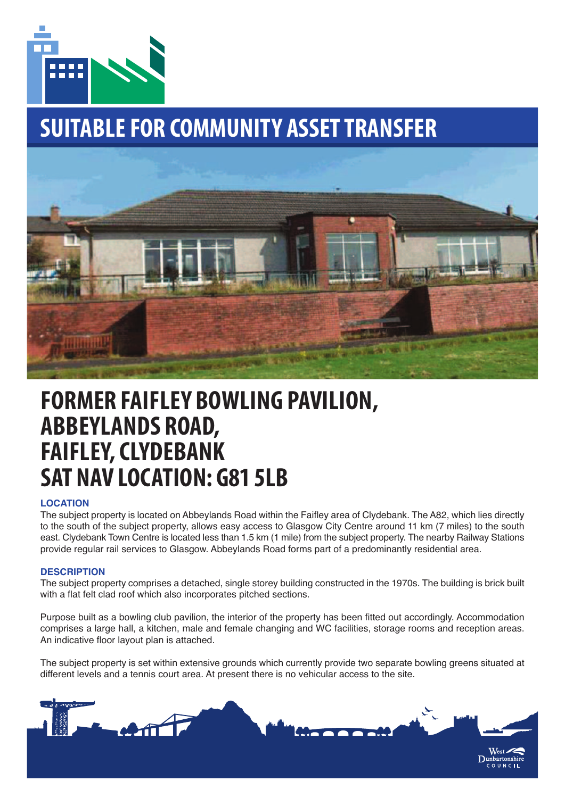

# **SUITABLE FOR COMMUNITY ASSET TRANSFER**



## **FORMER FAIFLEY BOWLING PAVILION, ABBEYLANDS ROAD, FAIFLEY, CLYDEBANK SAT NAV LOCATION: G81 5LB**

## **LOCATION**

The subject property is located on Abbeylands Road within the Faifley area of Clydebank. The A82, which lies directly to the south of the subject property, allows easy access to Glasgow City Centre around 11 km (7 miles) to the south east. Clydebank Town Centre is located less than 1.5 km (1 mile) from the subject property. The nearby Railway Stations provide regular rail services to Glasgow. Abbeylands Road forms part of a predominantly residential area.

### **DESCRIPTION**

The subject property comprises a detached, single storey building constructed in the 1970s. The building is brick built with a flat felt clad roof which also incorporates pitched sections.

Purpose built as a bowling club pavilion, the interior of the property has been fitted out accordingly. Accommodation comprises a large hall, a kitchen, male and female changing and WC facilities, storage rooms and reception areas. An indicative floor layout plan is attached.

The subject property is set within extensive grounds which currently provide two separate bowling greens situated at different levels and a tennis court area. At present there is no vehicular access to the site.

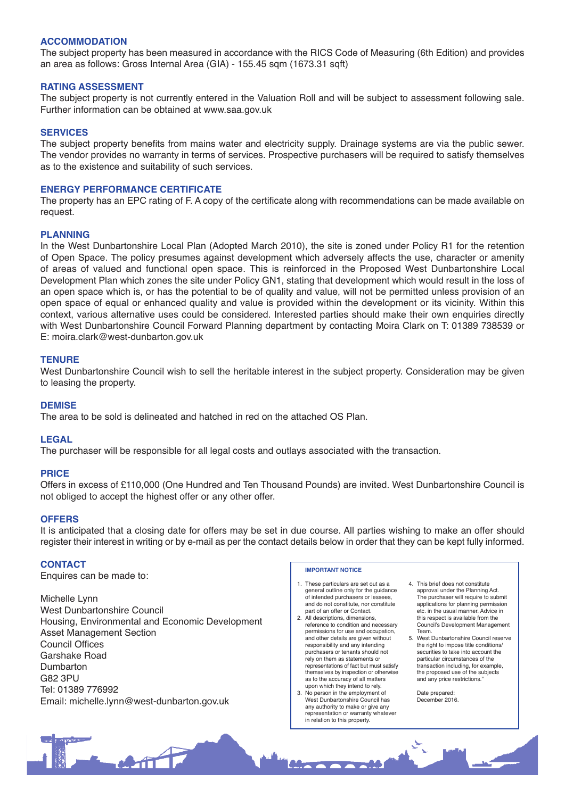#### **ACCOMMODATION**

The subject property has been measured in accordance with the RICS Code of Measuring (6th Edition) and provides an area as follows: Gross Internal Area (GIA) - 155.45 sqm (1673.31 sqft)

#### **RATING ASSESSMENT**

The subject property is not currently entered in the Valuation Roll and will be subject to assessment following sale. Further information can be obtained at www.saa.gov.uk

#### **SERVICES**

The subject property benefits from mains water and electricity supply. Drainage systems are via the public sewer. The vendor provides no warranty in terms of services. Prospective purchasers will be required to satisfy themselves as to the existence and suitability of such services.

#### **ENERGY PERFORMANCE CERTIFICATE**

The property has an EPC rating of F. A copy of the certificate along with recommendations can be made available on request.

#### **PLANNING**

In the West Dunbartonshire Local Plan (Adopted March 2010), the site is zoned under Policy R1 for the retention of Open Space. The policy presumes against development which adversely affects the use, character or amenity of areas of valued and functional open space. This is reinforced in the Proposed West Dunbartonshire Local Development Plan which zones the site under Policy GN1, stating that development which would result in the loss of an open space which is, or has the potential to be of quality and value, will not be permitted unless provision of an open space of equal or enhanced quality and value is provided within the development or its vicinity. Within this context, various alternative uses could be considered. Interested parties should make their own enquiries directly with West Dunbartonshire Council Forward Planning department by contacting Moira Clark on T: 01389 738539 or E: moira.clark@west-dunbarton.gov.uk

#### **TENURE**

West Dunbartonshire Council wish to sell the heritable interest in the subject property. Consideration may be given to leasing the property.

#### **DEMISE**

The area to be sold is delineated and hatched in red on the attached OS Plan.

#### **LEGAL**

The purchaser will be responsible for all legal costs and outlays associated with the transaction.

#### **PRICE**

Offers in excess of £110,000 (One Hundred and Ten Thousand Pounds) are invited. West Dunbartonshire Council is not obliged to accept the highest offer or any other offer.

#### **OFFERS**

It is anticipated that a closing date for offers may be set in due course. All parties wishing to make an offer should register their interest in writing or by e-mail as per the contact details below in order that they can be kept fully informed.

#### **CONTACT**

Enquires can be made to:

Michelle Lynn West Dunbartonshire Council Housing, Environmental and Economic Development Asset Management Section Council Offices Garshake Road Dumbarton G82 3PU Tel: 01389 776992 Email: michelle.lynn@west-dunbarton.gov.uk

#### **IMPORTANT NOTICE**

- 1. These particulars are set out as a general outline only for the guidance of intended purchasers or lessees, and do not constitute, nor constitute part of an offer or Contact. 2. All descriptions, dimensions,
- reference to condition and necessary permissions for use and occupation, and other details are given without responsibility and any intending purchasers or tenants should not rely on them as statements or representations of fact but must satisfy themselves by inspection or otherwise as to the accuracy of all matters upon which they intend to rely.
- 3. No person in the employment of West Dunbartonshire Council has any authority to make or give any representation or warranty whatever in relation to this property.
- 4. This brief does not constitute approval under the Planning Act. The purchaser will require to submit applications for planning permission etc. in the usual manner. Advice in this respect is available from the Council's Development Management Team.
- 5. West Dunbartonshire Council reserved. the right to impose title conditions/ securities to take into account the particular circumstances of the transaction including, for example, the proposed use of the subjects and any price restrictions."

Date prepared: December 2016.